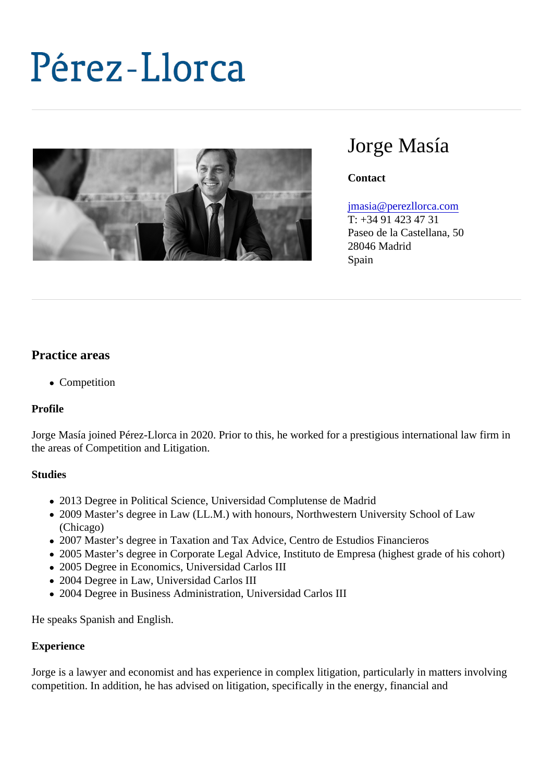# Jorge Masía

**Contact** 

#### [jmasia@perezllorca.co](mailto:jmasia@perezllorca.com)m

T: +34 91 423 47 31 Paseo de la Castellana, 50 28046 Madrid Spain

## Practice areas

• Competition

Profile

Jorge Masía joined Pérez-Llorca in 2020. Prior to this, he worked for a prestigious international law firm in the areas of Competition and Litigation.

**Studies** 

- 2013 Degree in Political Science, Universidad Complutense de Madrid
- 2009 Master's degree in Law (LL.M.) with honours, Northwestern University School of Law (Chicago)
- 2007 Master's degree in Taxation and Tax Advice, Centro de Estudios Financieros
- 2005 Master's degree in Corporate Legal Advice, Instituto de Empresa (highest grade of his cohort)
- 2005 Degree in Economics, Universidad Carlos III
- 2004 Degree in Law, Universidad Carlos III
- 2004 Degree in Business Administration, Universidad Carlos III

He speaks Spanish and English.

#### **Experience**

Jorge is a lawyer and economist and has experience in complex litigation, particularly in matters involving competition. In addition, he has advised on litigation, specifically in the energy, financial and